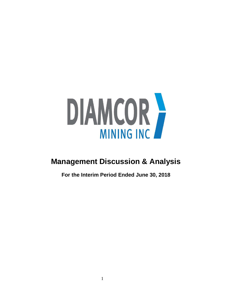

# **Management Discussion & Analysis**

**For the Interim Period Ended June 30, 2018**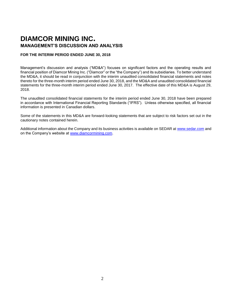## **DIAMCOR MINING INC. MANAGEMENT'S DISCUSSION AND ANALYSIS**

## **FOR THE INTERIM PERIOD ENDED JUNE 30, 2018**

Management's discussion and analysis ("MD&A") focuses on significant factors and the operating results and financial position of Diamcor Mining Inc. ("Diamcor" or the "the Company") and its subsidiaries. To better understand the MD&A, it should be read in conjunction with the interim unaudited consolidated financial statements and notes thereto for the three-month interim period ended June 30, 2018, and the MD&A and unaudited consolidated financial statements for the three-month interim period ended June 30, 2017. The effective date of this MD&A is August 29, 2018.

The unaudited consolidated financial statements for the interim period ended June 30, 2018 have been prepared in accordance with International Financial Reporting Standards ("IFRS"). Unless otherwise specified, all financial information is presented in Canadian dollars.

Some of the statements in this MD&A are forward-looking statements that are subject to risk factors set out in the cautionary notes contained herein.

Additional information about the Company and its business activities is available on SEDAR at [www.sedar.com](http://www.sedar.com/) and on the Company's website at [www.diamcormining.com.](http://www.diamcormining.com/)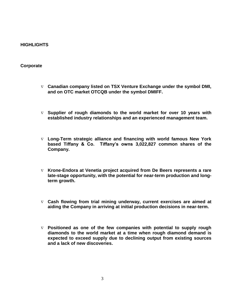## **HIGHLIGHTS**

## **Corporate**

- **Canadian company listed on TSX Venture Exchange under the symbol DMI, and on OTC market OTCQB under the symbol DMIFF.**
- **Supplier of rough diamonds to the world market for over 10 years with established industry relationships and an experienced management team.**
- **Long-Term strategic alliance and financing with world famous New York based Tiffany & Co. Tiffany's owns 3,022,827 common shares of the Company.**
- **Krone-Endora at Venetia project acquired from De Beers represents a rare late-stage opportunity, with the potential for near-term production and longterm growth.**
- **Cash flowing from trial mining underway, current exercises are aimed at aiding the Company in arriving at initial production decisions in near-term.**
- **Positioned as one of the few companies with potential to supply rough diamonds to the world market at a time when rough diamond demand is expected to exceed supply due to declining output from existing sources and a lack of new discoveries.**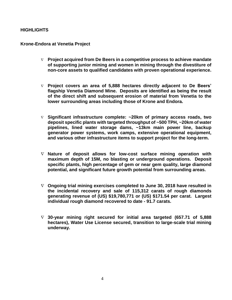## **HIGHLIGHTS**

## **Krone-Endora at Venetia Project**

- **Project acquired from De Beers in a competitive process to achieve mandate of supporting junior mining and women in mining through the divestiture of non-core assets to qualified candidates with proven operational experience.**
- **Project covers an area of 5,888 hectares directly adjacent to De Beers' flagship Venetia Diamond Mine. Deposits are identified as being the result of the direct shift and subsequent erosion of material from Venetia to the lower surrounding areas including those of Krone and Endora.**
- **Significant infrastructure complete: ~20km of primary access roads, two deposit specific plants with targeted throughput of ~500 TPH, ~20km of water pipelines, lined water storage dams, ~13km main power line, backup generator power systems, work camps, extensive operational equipment, and various other infrastructure items to support project for the long-term.**
- **Nature of deposit allows for low-cost surface mining operation with maximum depth of 15M, no blasting or underground operations. Deposit specific plants, high percentage of gem or near gem quality, large diamond potential, and significant future growth potential from surrounding areas.**
- **Ongoing trial mining exercises completed to June 30, 2018 have resulted in the incidental recovery and sale of 115,312 carats of rough diamonds generating revenue of (US) \$19,780,771 or (US) \$171.54 per carat. Largest individual rough diamond recovered to date - 91.7 carats.**
- **30-year mining right secured for initial area targeted (657.71 of 5,888 hectares), Water Use License secured, transition to large-scale trial mining underway.**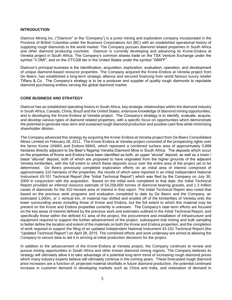## **INTRODUCTION**

Diamcor Mining Inc. ("Diamcor" or the "Company") is a junior mining and exploration company incorporated in the Province of British Columbia under the Business Corporations Act (BC) with an established operational history of supplying rough diamonds to the world market. The Company pursues diamond related properties in South Africa and other diamond producing countries. Diamcor is currently developing and advancing its Krone-Endora at Venetia project in South Africa. The Company's common shares trade on the TSX Venture Exchange under the symbol "V.DMI", and on the OTCQB tier in the United States under the symbol "DMIFF".

Diamcor's principal business is the identification, acquisition, exploration, evaluation, operation, and development of unique diamond-based resource properties. The Company acquired the Krone-Endora at Venetia project from De Beers, has established a long-term strategic alliance and secured financing from world famous luxury retailer Tiffany & Co. The Company's strategy is to be a producer and supplier of quality rough diamonds to reputable diamond purchasing entities serving the global diamond market.

## **CORE BUSINESS AND STRATEGY**

Diamcor has an established operating history in South Africa, key strategic relationships within the diamond industry in South Africa, Canada, China, Brazil and the United States, extensive knowledge of diamond mining opportunities, and is developing the Krone-Endora at Venetia project. The Company's strategy is to identify, evaluate, acquire, and develop various types of diamond related properties, with a specific focus on opportunities which demonstrate the potential to generate near-term and sustained rough diamond production and positive cash flow while minimizing shareholder dilution.

The Company advanced this strategy by acquiring the Krone-Endora at Venetia project from De Beers Consolidated Mines Limited on February 28, 2011. The Krone-Endora at Venetia project consisted of the prospecting rights over the farms Krone 104MS and Endora 66MS, which represent a combined surface area of approximately 5,888 hectares directly adjacent to De Beer's flagship Venetia Diamond Mine in South Africa. The deposits which occur on the properties of Krone and Endora have been identified as both, an upper "eluvial" deposit, as well as a lower / basal "alluvial" deposit, both of which are proposed to have originated from the higher grounds of the adjacent Venetia kimberlites, with the full extent to which these deposits occur over the entire area of the project yet to be determined. De Beers previously completed exploration efforts on an initial area of interest comprised of approximately 310 hectares of the properties, the results of which were reported in an initial Independent National Instrument 43-101 Technical Report (the "Initial Technical Report") which was filed by the Company on July 30, 2009 in conjunction with the acquisition. Based on the initial work completed to that date, the Initial Technical Report provided an inferred resource estimate of 54,258,600 tonnes of diamond bearing gravels, and 1.3 million carats of diamonds for the 310 hectare area of interest in that report. The Initial Technical Report also noted that based on the previous work programs and evaluation completed to date by De Beers and the Company, an estimated 1,000m, or 1 vertical km, of material has shifted and eroded off of the kimberlites of Venetia onto the lower surrounding areas including those of Krone and Endora, but the full extent to which this material may be present on the Krone and Endora properties currently is unknown. The Company's near-term efforts are focused on the key areas of interest defined by the previous work and estimates outlined in the Initial Technical Report, and specifically those within the defined K1 area of the project, the procurement and installation of infrastructure and equipment required to support the further advancement of the project, subsequent trial mining and bulk sampling to better define the location and extent of the materials on both the Krone and Endora properties, and the completion of work required to support the filing of an updated Independent National Instrument 43-101 Technical Report (the "Updated Technical Report") on April 28, 2015. The combined efforts and work underway are aimed at allowing the Company to secure data to aid it in arriving at initial production decisions for the project.

In addition to the advancement of the Krone-Endora at Venetia project, the Company continues to review and pursue mining opportunities in South Africa and other known diamond mining regions. The Company believes its strategy will ultimately allow it to take advantage of a potential long-term trend of increasing rough diamond prices which many industry experts believe will ultimately continue in the coming years. These forecasted rough diamond price increases are a function of; projected material shortfalls in future diamond production, the potential continued increase in customer demand in developing markets such as China and India, and restoration of demand in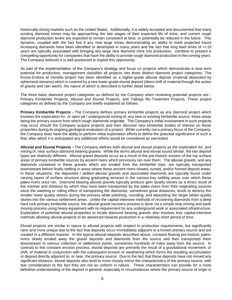historically strong markets such as the United States. Additionally, it is widely accepted and documented that many existing diamond mines may be approaching the late stages of their expected life of mine, and current rough diamond production levels are expected to remain consistent at best, or potentially be reduced in the future. This dynamic, coupled with the fact few if any new large mines demonstrating an ability to meet projected future increasing demands have been identified or developed in many years and the fact that long lead times of +/-10 years are typically associated with bringing any large new diamond mine into production, combine to present a compelling opportunity for companies that have the ability to provide rough diamond production in the coming years. The Company believes it is well positioned to exploit this opportunity.

As part of the implementation of the Company's strategy and focus on projects which demonstrate a near-term potential for production, management classifies all projects into three distinct diamond project categories. The Krone-Endora at Venetia project has been identified as a higher-grade alluvial deposit (material deposited by ephemeral streams) which is covered by a rare lower-grade eluvial deposit (direct shift of material through the action of gravity and rain wash), the nature of which is described in further detail below.

The three basic diamond project categories as defined by the Company when reviewing potential projects are - Primary Kimberlite Projects, Alluvial and Eluvial Projects, and Tailings Re-Treatment Projects. These project categories as defined by the Company are briefly explained as follows:

**Primary Kimberlite Projects -** The Company defines primary kimberlite projects as any diamond project which involves the exploration for, or open-pit / underground mining of, any new or existing kimberlite source, these areas being the primary source from which rough diamonds originate. The Company's initial involvement in such projects may occur should the Company acquire projects and then discover new kimberlite bodies of interest on those properties during its ongoing geological evaluation of a project. While currently not a primary focus of the Company, the Company does have the ability to perform initial exploration efforts to define the potential significance of such a find, after which it is anticipated any additional efforts would be considered as warranted.

**Alluvial and Eluvial Projects -** The Company defines both alluvial and eluvial projects as the exploration for, and mining of, near surface diamond bearing gravels. While the terms alluvial and eluvial sound similar, the two deposit types are distinctly different. Alluvial gravel deposits occur as a result of the pre-historic erosion of the top surface areas of primary kimberlite sources by ancient rivers which previously ran over them. The alluvial gravels, and any diamonds contained in these gravels which are eroded from the kimberlite tops, are typically transported downstream before finally settling in areas where these ancient rivers slowed, turned, and/or formed deposit areas. In these situations, the deposited / settled alluvial gravels and associated diamonds are typically found under varying layers of surface structure along graduating terraces in the various key settling areas over which these paleo-rivers once ran. Diamond bearing alluvial gravels typically produce gem quality stones as a direct result of the manner and distance by which they have been transported by the paleo-rivers from their originating sources since the washing or rolling effect of transporting the diamonds, sometimes great distances, tends to destroy the smaller lower quality stones during the process while polishing, rounding, and depositing the larger better-quality stones into the various settlement areas. Unlike the capital-intensive methods of recovering diamonds from a deep hard rock primary kimberlite source, the alluvial gravel recovery process is done via a simple strip mining and earth moving process using heavy equipment with no requirement for any underground work or associated infrastructure. Exploration of potential alluvial properties to locate diamond bearing gravels also involves less capital-intensive methods allowing alluvial projects to be advanced towards production in a relatively short period of time.

Eluvial projects are similar in nature to alluvial projects with respect to production requirements, but significantly rarer and more unique due to the fact that deposits occur immediately adjacent to a known primary source and are created in a different manner. In the typical alluvial deposits described above, constant flowing pre-historic paleorivers slowly eroded away the gravel deposits and diamonds from the source and then transported them downstream to various collection or settlement points, sometimes hundreds of miles away from the source. In contrast to this constant erosion process, eluvial deposits are primarily the result of a gravitational movement, or shift, of material in conjunction with the subsequent erosion or weathering which forms the resulting accumulation or deposit directly adjacent to, or near, the primary source. Due to the fact that these deposits have not moved any significant distance, eluvial deposits also tend to more closely mirror the characteristics of the primary source, with due consideration to the fact they are not as uniform in nature. These characteristics can provide for a more definitive understanding of the deposit in general, especially in circumstances where the primary source of origin is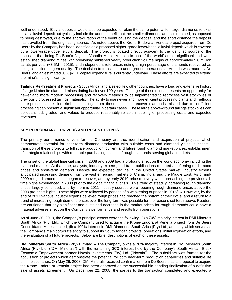well understood. Eluvial deposits would also be expected to retain the same potential for larger diamonds to exist as an alluvial deposit but typically include the added benefit that the smaller diamonds are also retained, as opposed to being destroyed, due to the short-duration of the event causing the deposit, and the short distance the deposit has travelled from the originating source. As noted above, the Krone-Endora at Venetia project acquired from De Beers by the Company has been identified as a proposed higher-grade lower/basal alluvial deposit which is covered by a lower-grade upper eluvial deposit. The project is located directly adjacent to the identified source of the deposits, that being De Beer's flagship Venetia Mine. Venetia is one of the world's most significant and wellestablished diamond mines with previously published yearly production volume highs of approximately 9.0 million carats per year (~3.5M – 2015), and independent references noting a high percentage of diamonds recovered as being classified as gem quality. The decision to transition to underground operations at Venetia was made by De Beers, and an estimated (US)\$2.1B capital expenditure is currently underway. These efforts are expected to extend the mine's life significantly.

**Tailings Re-Treatment Projects -** South Africa, and a select few other countries, have a long and extensive history of large kimberlite diamond mines dating back over 100 years. The age of these mines presents an opportunity for newer and more modern processing and recovery methods to be implemented to reprocess vast stockpiles of previously processed tailings materials. The ability to use newer and more efficient processing plants and methods to re-process stockpiled kimberlite tailings from these mines to recover diamonds missed due to inefficient processing can present a significant opportunity in certain cases. These large above-ground tailings stockpiles can be quantified, graded, and valued to produce reasonably reliable modeling of processing costs and expected revenues.

## **KEY PERFORMANCE DRIVERS AND RECENT EVENTS**

The primary performance drivers for the Company are the; identification and acquisition of projects which demonstrate potential for near-term diamond production with suitable costs and diamond yields, successful transition of these projects to full scale production, current and future rough diamond market prices, establishment of strategic relationships with reputable purchasing entities of rough diamonds serving global markets.

The onset of the global financial crisis in 2008 and 2009 had a profound effect on the world economy including the diamond market. At that time, analysts, industry experts, and trade publications reported a softening of diamond prices and short-term demand. Despite the expected decline in the United States market, industry experts anticipated increasing demand from the vast emerging markets of China, India, and the Middle East. As of mid-2009 rough diamond prices began to recover, and by early 2010 price recovery was approaching the previous alltime highs experienced in 2008 prior to the global financial crisis. This trend of steadily increasing rough diamond prices largely continued, and by the mid 2011 industry sources were reporting rough diamond prices above the 2008 pre-crisis highs. These highs were followed by periods of a weakening of prices in 2015/16. However, by the end of 2017 various industry experts believed rough prices had reached the bottom of their cycle, and a return to a trend of increasing rough diamond prices over the long-term was possible for the reasons set forth above. Readers are cautioned that any significant and sustained decrease in the market prices for rough diamonds could have a material adverse effect on the Company's performance and results from operations**.**

As of June 30, 2018, the Company's principal assets were the following: (i) a 70% majority interest in DMI Minerals South Africa (Pty) Ltd., which the Company used to acquire the Krone-Endora at Venetia project from De Beers Consolidated Mines Limited, (ii) a 100% interest in DMI Diamonds South Arica (Pty) Ltd., an entity which serves as the Company's main corporate entity to support its South African projects, operations, initial exploration efforts, and the evaluation of all future projects. Below are brief descriptions of each of these assets.

**DMI Minerals South Africa (Pty) Limited –** The Company owns a 70% majority interest in DMI Minerals South Africa (Pty) Ltd. ("DMI Minerals") with the remaining 30% interest held by the Company's South African Black Economic Empowerment partner Nozala Investments (Pty) Ltd. ("Nozala"). The subsidiary was formed for the acquisition of projects which demonstrate the potential for both near-term production capabilities and suitable life of mine scenarios. On May 26, 2008, DMI Minerals received confirmation from De Beers that its proposal to acquire the Krone-Endora at Venetia project had been approved as the successful bid pending finalization of a definitive sale of assets agreement. On December 22, 2008, the parties to the transaction completed and executed a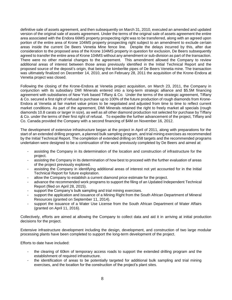definitive sale of assets agreement, and then subsequently on March 31, 2010, executed an amended and updated version of the original sale of assets agreement. Under the terms of the original sale of assets agreement the entire area associated with the Endora 66MS property prospecting right was to be transferred, along with an agreed upon portion of the entire area of Krone 104MS property prospecting right subject to an amendment to exclude certain areas inside the current De Beers Venetia Mine fence line. Despite the delays incurred by this, after due consideration to the proposed area of the Krone 104MS property in question for exclusion, De Beers subsequently agreed to transfer the entire area of Krone 104MS without any amendment or sub-division as part of the transaction. There were no other material changes to the agreement. This amendment allowed the Company to review additional areas of interest between those areas previously identified in the Initial Technical Report and the proposed source of the deposit's origin, that being the kimberlite pipes of De Beers Venetia mine. The transaction was ultimately finalized on December 14, 2010, and on February 28, 2011 the acquisition of the Krone-Endora at Venetia project was closed.

Following the closing of the Krone-Endora at Venetia project acquisition, on March 23, 2011, the Company in conjunction with its subsidiary DMI Minerals entered into a long-term strategic alliance and \$5.5M financing agreement with subsidiaries of New York based Tiffany & Co. Under the terms of the strategic agreement, Tiffany & Co. secured a first right of refusal to purchase up to 100% of the future production of rough diamonds from Krone-Endora at Venetia at fair market value prices to be negotiated and adjusted from time to time to reflect current market conditions. As part of the agreement, DMI Minerals retained the right to freely market all specials (rough diamonds 10.8 carats or larger in size), as well as all other diamond production not selected for purchase by Tiffany & Co. under the terms of their first right of refusal. To expedite the further advancement of the project, Tiffany and Co. Canada provided the Company with a second financing of \$4M on November 16, 2012.

The development of extensive infrastructure began at the project in April of 2011, along with preparations for the start of an extended drilling program, a planned bulk sampling program, and trial mining exercises as recommended by the Initial Technical Report. The completion of extended drilling on 558 targets and the recommended programs undertaken were designed to be a continuation of the work previously completed by De Beers and aimed at:

- assisting the Company in its determination of the location and construction of infrastructure for the project.
- assisting the Company in its determination of how best to proceed with the further evaluation of areas of the project previously explored.
- assisting the Company in identifying additional areas of interest not yet accounted for in the Initial Technical Report for future exploration.
- allow the Company to establish a current diamond price estimate for the project.
- advance the recommended work programs to support the filing of an Updated Independent Technical Report (filed on April 28, 2015).
- support the Company's bulk sampling and trial mining exercises.
- support the application and issuance of a Mining Right from the South African Department of Mineral Resources (granted on September 11, 2014).
- support the issuance of a Water Use License from the South African Department of Water Affairs (granted on April 11, 2016).

Collectively, efforts are aimed at allowing the Company to collect data and aid it in arriving at initial production decisions for the project.

Extensive infrastructure development including the design, development, and construction of two large modular processing plants have been completed to support the long-term development of the project.

Efforts to date have included:

- the clearing of 60km of temporary access roads to support the extended drilling program and the establishment of required infrastructure.
- the identification of areas to be potentially targeted for additional bulk sampling and trial mining exercises, and the location for the construction of the project's plant sites.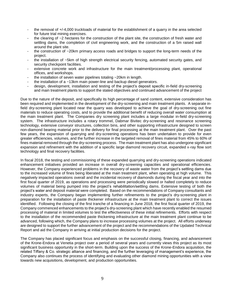- the removal of +/-4,000 truckloads of material for the establishment of a quarry in the area selected for future trial mining exercises.
- the clearing of  $\sim$ 2 hectares for the construction of the plant site, the construction of fresh water and settling dams, the completion of civil engineering work, and the construction of a 5m raised wall around the plant site.
- the construction of  $\sim$ 20km primary access roads and bridges to support the long-term needs of the project.
- the installation of ~5km of high strength electrical security fencing, automated security gates, and security checkpoint facilities.
- extensive concrete work and infrastructure for the main treatment/processing plant, operational offices, and workshops.
- the installation of seven water pipelines totaling  $\sim$  20km in length.
- the installation of a  $\sim$ 13km main power-line and backup diesel generators.
- design, development, installation and testing of the project's deposit specific in-field dry-screening and main treatment plants to support the stated objectives and continued advancement of the project

Due to the nature of the deposit, and specifically its high percentage of sand content, extensive consideration has been required and implemented in the development of the dry-screening and main treatment plants. A separate infield dry-screening plant located near the quarry was developed to achieve the goal of dry-screening out fine materials to reduce operating costs, and to provide the additional benefit of reducing overall water consumption at the main treatment plant. The Companies dry screening plant includes a large modular in-field dry-screening system. The infrastructure includes a rotary trommel, Dabmar Bivitec dry-screening and resonance screening technology, extensive conveyor structures, collection bins, and other supporting infrastructure designed to screen non-diamond bearing material prior to the delivery for final processing at the main treatment plant. Over the past few years, the expansion of quarrying and dry-screening operations has been undertaken to provide for even greater efficiencies, volumes, and the further increase in the targeted removal of fines material from 45% to 60% of fines material removed through the dry-screening process. The main treatment plant has also undergone significant expansion and refinement with the addition of a specific large diamond recovery circuit, expanded x-ray flow sort technology and final recovery facilities.

In fiscal 2018, the testing and commissioning of these expanded quarrying and dry-screening operations indicated enhancement initiatives provided an increase in overall dry-screening capacities and operational efficiencies. However, the Company experienced problems in the recovery of waste water from the project's settling dams due to the increased volume of fines being liberated at the main treatment plant, when operating at high volume. This negatively impacted operations overall and the incidental recovery of diamonds during the fiscal year and into the first fiscal quarter of 2019, as operations and processing were periodically slowed or halted completely to reduce volumes of material being pumped into the project's rehabilitation/settling dams. Extensive testing of both the project's water and deposit material were completed. Based on the recommendations of Company consultants and industry experts, the Company began implementing further refinements to the project's dry-screening plant in preparation for the installation of paste thickener infrastructure at the main treatment plant to correct the issues identified. Following the closing of the first tranche of a financing in June 2018, the first fiscal quarter of 2019, the Company commenced enhancements to the project's dry-screening plant which have recently enabled the resumed processing of material in limited volumes to test the effectiveness of these initial refinements. Efforts with respect to the installation of the recommended paste thickening infrastructure at the main treatment plant continue to be advanced, following which, the Company plans to increase processing volumes at the project. All efforts underway are designed to support the further advancement of the project and the recommendations of the Updated Technical Report and aid the Company in arriving at initial production decisions for the project.

The Company has placed significant focus and emphasis on the successful closing, financing, and advancement of the Krone-Endora at Venetia project over a period of several years and currently views this project as its most significant business opportunity in the short-term. Building upon the success of the Krone-Endora acquisition, the related Tiffany & Co. strategic alliance and financing, and the further leveraging of management's experience, the Company also continues the process of identifying and evaluating other diamond mining opportunities with a view towards new acquisitions, development, and production opportunities.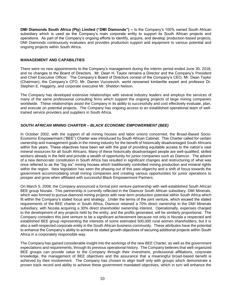**DMI Diamonds South Africa (Pty) Limited ("DMI Diamonds") –** Is the Company's 100% owned South African subsidiary which is used as the Company's main corporate entity to support its South African projects and operations. As part of the Company's ongoing efforts to identify, acquire, and develop production-based projects, DMI Diamonds continuously evaluates and provides production support and equipment to various potential and ongoing projects within South Africa.

## **MANAGEMENT AND CAPABILITIES**

There were no new appointments to the Company's management during the interim period ended June 30, 2018, and no changes to the Board of Directors. Mr. Dean H. Taylor remains a Director and the Company's President and Chief Executive Officer. The Company's Board of Directors consist of the Company's CEO, Mr. Dean Taylor (Chairman), the Company's CFO, Mr. Darren Vucurevich, world renowned kimberlite expert and professor Dr. Stephen E. Haggerty, and corporate executive Mr. Sheldon Nelson.

The Company has developed extensive relationships with several industry leaders and employs the services of many of the same professional consulting firms which support the ongoing projects of large mining companies worldwide. These relationships assist the Company in its ability to successfully and cost effectively evaluate, plan, and execute on potential projects. The Company has ongoing access to an established operational team of welltrained service providers and suppliers in South Africa.

## *SOUTH AFRICAN MINING CHARTER – BLACK ECONOMIC EMPOWERMENT (BEE)*

In October 2002, with the support of all mining houses and labor unions concerned, the Broad-Based Socio-Economic Empowerment ("BEE") Charter was introduced by South African Cabinet. This Charter called for certain ownership and management goals in the mining industry for the benefit of historically disadvantaged South Africans within five years. These objectives have been set with the goal of providing equitable access to the nation's vast mineral resources for all South Africans. Many of these historically disadvantaged people are well-qualified, skilled workers already in the field and provide a wealth of opportunity for junior companies such as Diamcor. The advent of a new democratic constitution in South Africa has resulted in significant changes and restructuring of what was once referred to as the "big six" mining houses which traditionally controlled mining production and mineral rights within the region. New legislation has seen the phasing out of this past oligarchy and a shift of focus towards the government accommodating small mining companies and creating various opportunities for junior operations to prosper and grow when affiliated with successful Black Empowerment Partners.

On March 5, 2008, the Company announced a formal joint venture partnership with well-established South African BEE group Nozala. This partnership is currently reflected in the Diamcor South African subsidiary, DMI Minerals, which was formed to pursue diamond mining projects with near-term production potential within South Africa which fit within the Company's stated focus and strategy. Under the terms of the joint venture, which exceed the stated requirements of the BEE charter in South Africa, Diamcor retained a 70% direct ownership in the DMI Minerals subsidiary, with Nozala acquiring a 30% direct shareholder ownership interest. Operationally, expenses charged to the development of any projects held by the entity, and the profits generated, will be similarly proportional. The Company considers this joint venture to be a significant achievement because not only is Nozala a respected and established BEE group representing the interests of some estimated 500,000 rural women shareholders, but it is also a well-respected corporate entity in the South African business community. These attributes have the potential to enhance the Company's ability to achieve its stated growth objectives of securing additional projects within South Africa in a corporately responsible way.

The Company has gained considerable insight into the workings of the new BEE Charter, as well as the government expectations and requirements, through its previous operational history. The Company believes that well-organized BEE groups can provide value to the Company through their investment, professional affiliations, corporate knowledge, the management of BEE objectives and the assurance that a meaningful broad-based benefit is achieved by their involvement. The Company has chosen to align itself only with groups which demonstrate a proven track record and ability to achieve these government mandated objectives, which in turn will enhance the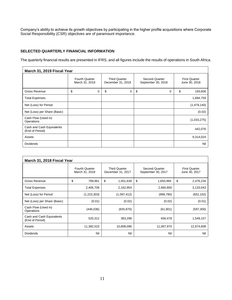Company's ability to achieve its growth objectives by participating in the higher profile acquisitions where Corporate Social Responsibility (CSR) objectives are of paramount importance.

## **SELECTED QUARTERLY FINANCIAL INFORMATION**

The quarterly financial results are presented in IFRS, and all figures include the results of operations in South Africa.

| March 31, 2019 Fiscal Year                   |                                         |   |                                           |                                      |  |                                       |
|----------------------------------------------|-----------------------------------------|---|-------------------------------------------|--------------------------------------|--|---------------------------------------|
|                                              | <b>Fourth Quarter</b><br>March 31, 2019 |   | <b>Third Quarter</b><br>December 31, 2018 | Second Quarter<br>September 30, 2018 |  | <b>First Quarter</b><br>June 30, 2018 |
| Gross Revenue                                | \$                                      | 0 | \$<br>0                                   | \$<br>0                              |  | \$<br>193,606                         |
| <b>Total Expenses</b>                        |                                         |   |                                           |                                      |  | 1,684,759                             |
| Net (Loss) for Period                        |                                         |   |                                           |                                      |  | (1,479,140)                           |
| Net (Loss) per Share (Basic)                 |                                         |   |                                           |                                      |  | (0.02)                                |
| Cash Flow (Used in)<br>Operations            |                                         |   |                                           |                                      |  | (1,033,275)                           |
| Cash and Cash Equivalents<br>(End of Period) |                                         |   |                                           |                                      |  | 442,076                               |
| Assets                                       |                                         |   |                                           |                                      |  | 9,314,024                             |
| <b>Dividends</b>                             |                                         |   |                                           |                                      |  | Nil                                   |

| March 31, 2018 Fiscal Year                   |                                         |                                           |                                             |                                       |  |  |
|----------------------------------------------|-----------------------------------------|-------------------------------------------|---------------------------------------------|---------------------------------------|--|--|
|                                              | <b>Fourth Quarter</b><br>March 31, 2018 | <b>Third Quarter</b><br>December 31, 2017 | <b>Second Quarter</b><br>September 30, 2017 | <b>First Quarter</b><br>June 30, 2017 |  |  |
| Gross Revenue                                | \$<br>769,961                           | \$<br>1,051,639                           | \$<br>1,650,994                             | \$<br>2,476,234                       |  |  |
| <b>Total Expenses</b>                        | 2,406,706                               | 2,162,954                                 | 2,660,800                                   | 3,133,043                             |  |  |
| Net (Loss) for Period                        | (1,223,303)                             | (1,097,412)                               | (998, 780)                                  | (652, 102)                            |  |  |
| Net (Loss) per Share (Basic)                 | (0.01)                                  | (0.02)                                    | (0.02)                                      | (0.01)                                |  |  |
| Cash Flow (Used in)<br>Operations            | (446, 036)                              | (835, 870)                                | (61, 901)                                   | (597, 300)                            |  |  |
| Cash and Cash Equivalents<br>(End of Period) | 520,312                                 | 383,298                                   | 656,478                                     | 1,549,157                             |  |  |
| Assets                                       | 11,382,523                              | 10,808,096                                | 11,067,970                                  | 12,974,608                            |  |  |
| <b>Dividends</b>                             | Nil                                     | Nil                                       | Nil                                         | Nil                                   |  |  |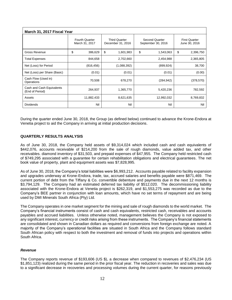| March 31, 2017 Fiscal Year                   |                                         |                                           |                                      |                                       |  |  |  |
|----------------------------------------------|-----------------------------------------|-------------------------------------------|--------------------------------------|---------------------------------------|--|--|--|
|                                              | <b>Fourth Quarter</b><br>March 31, 2017 | <b>Third Quarter</b><br>December 31, 2016 | Second Quarter<br>September 30, 2016 | <b>First Quarter</b><br>June 30, 2016 |  |  |  |
| Gross Revenue                                | \$<br>386,629                           | \$<br>1,601,983                           | \$<br>1,543,063                      | \$<br>2,396,750                       |  |  |  |
| <b>Total Expenses</b>                        | 844,658                                 | 2,702,660                                 | 2,454,988                            | 2,365,805                             |  |  |  |
| Net (Loss) for Period                        | (816, 456)                              | (1,088,392)                               | (899, 924)                           | 38,700                                |  |  |  |
| Net (Loss) per Share (Basic)                 | (0.01)                                  | (0.01)                                    | (0.01)                               | (0.00)                                |  |  |  |
| Cash Flow (Used in)<br>Operations            | 70,508                                  | 678,270                                   | (284, 942)                           | (378, 570)                            |  |  |  |
| Cash and Cash Equivalents<br>(End of Period) | 264,937                                 | 1,365,770                                 | 5,420,236                            | 782,592                               |  |  |  |
| Assets                                       | 11,882,433                              | 8,621,635                                 | 12,992,032                           | 8,769,832                             |  |  |  |
| <b>Dividends</b>                             | Nil                                     | Nil                                       | Nil                                  | Nil                                   |  |  |  |

During the quarter ended June 30, 2018, the Group (as defined below) continued to advance the Krone-Endora at Venetia project to aid the Company in arriving at initial production decisions.

## **QUARTERLY RESULTS ANALYSIS**

As of June 30, 2018, the Company held assets of \$9,314,024 which included cash and cash equivalents of \$442,076, accounts receivable of \$214,200 from the sale of rough diamonds, value added tax, and other receivables. diamond inventory of \$31,503, and prepaid expenses of \$47,955. The Company held restricted cash of \$749,295 associated with a guarantee for certain rehabilitation obligations and electrical guarantees. The net book value of property, plant and equipment assets was \$7,828,995.

As of June 30, 2018, the Company's total liabilities were \$6,993,212. Accounts payable related to facility expansion and upgrades underway at Krone-Endora, trade, tax, accrued salaries and benefits payable were \$871,469. The current portion of debt from the Tiffany & Co. convertible debenture and payments due in the next 12 months is \$3,794,129. The Company had an estimated deferred tax liability of \$512,020. The decommissioning liability associated with the Krone-Endora at Venetia project is \$262,319, and \$1,553,275 was recorded as due to the Company's BEE partner in conjunction with loan amounts, which have no set terms of repayment and are being used by DMI Minerals South Africa (Pty) Ltd.

The Company operates in one market segment for the mining and sale of rough diamonds to the world market. The Company's financial instruments consist of cash and cash equivalents, restricted cash, receivables and accounts payables and accrued liabilities. Unless otherwise noted, management believes the Company is not exposed to any significant interest, currency or credit risks arising from these instruments. The Company's financial statements are consolidated and shown in Canadian dollars as required and conversions from foreign exchange are noted. A majority of the Company's operational facilities are situated in South Africa and the Company follows standard South African policy with respect to both the investment and removal of funds into projects and operations within South Africa.

#### *Revenue*

The Company reports revenue of \$193,606 (US \$), a decrease when compared to revenues of \$2,476,234 (US \$1,851,123) realized during the same period in the prior fiscal year. The reduction in recoveries and sales was due to a significant decrease in recoveries and processing volumes during the current quarter, for reasons previously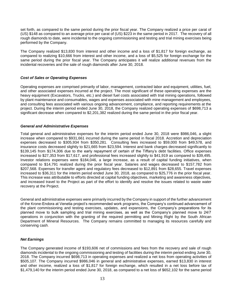set forth, as compared to the same period during the prior fiscal year. The Company realized a price per carat of (US) \$148 as compared to an average price per carat of (US) \$223 in the same period in 2017. The recovery of all rough diamonds to date, were incidental to the ongoing commissioning and testing and trial mining exercises being performed by the Company.

The Company realized \$13,830 from interest and other income and a loss of \$1,817 for foreign exchange, as compared to realizing \$10,666 from interest and other income, and a loss of \$5,525 for foreign exchange for the same period during the prior fiscal year. The Company anticipates it will realize additional revenues from the incidental recoveries and the sale of rough diamonds after June 30, 2018.

## *Cost of Sales or Operating Expenses*

Operating expenses are comprised primarily of labor, management, contracted labor and equipment, utilities, fuel, and other associated expenses incurred at the project. The most significant of these operating expenses are the heavy equipment (Excavators, Trucks, etc.) and diesel fuel costs associated with trial mining operations, followed by plant maintenance and consumables, wages and expenses associated with mine management and employees, and consulting fees associated with various ongoing advancement, compliance, and reporting requirements at the project. During the interim period ended June 30, 2018, the Company realized operating expenses of \$698,713 a significant decrease when compared to \$2,201,382 realized during the same period in the prior fiscal year.

## *General and Administrative Expenses*

Total general and administrative expenses for the interim period ended June 30, 2018 were \$986,046, a slight increase when compared to \$931,661 incurred during the same period in fiscal 2018. Accretion and depreciation expenses decreased to \$305,934 from \$350,281. Consulting fees increased to \$59,000 from \$49,578, and insurance costs decreased slightly to \$21,665 from \$23,594. Interest and bank charges decreased significantly to \$139,145 from \$174,306 due to the early repayment of certain of the Tiffany's debt facilities. Office expenses increased to \$27,353 from \$17,617, and professional fees increased slightly to \$41,919 as compared to \$39,495. Investor relations expenses were \$184,046, a large increase, as a result of capital funding initiatives, when compared to \$14,791 realized during the prior fiscal year. Salaries and wages decreased to \$157,782 from \$207,568. Expenses for transfer agent and regulatory fees decreased to \$12,891 from \$28,655. Travel expenses increased to \$36,311 for the interim period ended June 30, 2018, as compared to \$25,776 in the prior fiscal year. This increase was attributable to efforts directed at capital funding objectives, marketing and awareness objectives, and increased travel to the Project as part of the effort to identify and resolve the issues related to waste water recovery at the Project.

General and administrative expenses were primarily incurred by the Company in support of the further advancement of the Krone-Endora at Venetia project's recommended work programs, the Company's continued advancement of the plant commissioning and testing exercises, updates, and expansions, the Company's preparations for its planned move to bulk sampling and trial mining exercises, as well as the Company's planned move to 24/7 operations in conjunction with the granting of the required permitting and Mining Right by the South African Department of Mineral Resources. The Company remains committed to managing its resources carefully and conserving cash.

#### *Net Earnings*

The Company generated income of \$193,606 net of commissions and fees from the recovery and sale of rough diamonds incidental to the ongoing commissioning and testing of facilities during the interim period ending June 30, 2018. The Company incurred \$698,713 in operating expenses and realized a net loss from operating activities of \$505,107. The Company incurred \$986,046 in general and administrative expenses, earned \$13,830 in interest and other income, realized a loss of \$1,817 for foreign exchange, which resulted in a net loss before tax of \$1,479,140 for the interim period ended June 30, 2018, as compared to a net loss of \$652,102 for the same period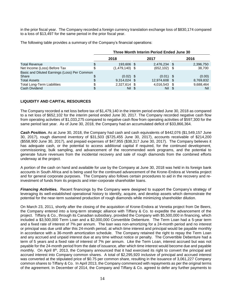in the prior fiscal year. The Company recorded a foreign currency translation exchange loss of \$830,174 compared to a loss of \$13,497 for the same period in the prior fiscal year.

The following table provides a summary of the Company's financial operations:

|                                              | <b>Three Month Interim Period Ended June 30</b> |  |                 |  |           |
|----------------------------------------------|-------------------------------------------------|--|-----------------|--|-----------|
|                                              | 2018                                            |  | 2017            |  | 2016      |
| <b>Total Revenue</b>                         | 193,606 \$                                      |  | 2,476,234 \$    |  | 2,396,750 |
| Net Income (Loss) Before Tax                 | $(1,479,140)$ \$                                |  | $(652, 102)$ \$ |  | 38,700    |
| Basic and Diluted Earnings (Loss) Per Common |                                                 |  |                 |  |           |
| Share                                        | $(0.02)$ \$                                     |  | $(0.01)$ \$     |  | (0.00)    |
| <b>Total Assets</b>                          | 9,314,024 \$                                    |  | 12,974,608 \$   |  | 8,769,832 |
| <b>Total Long-Term Liabilities</b>           | 2,327,614 \$                                    |  | 4,016,543 \$    |  | 9,688,464 |
| Cash Dividend                                | Nil \$                                          |  | Nil \$          |  | Nil       |

## **LIQUIDITY AND CAPITAL RESOURCES**

The Company recorded a net loss before tax of \$1,479,140 in the interim period ended June 30, 2018 as compared to a net loss of \$652,102 for the interim period ended June 30, 2017. The Company recorded negative cash flow from operating activities of \$1,033,275 compared to negative cash flow from operating activities of \$597,300 for the same period last year. As of June 30, 2018, the Company had an accumulated deficit of \$33,866,364.

*Cash Position.* As at June 30, 2018, the Company had cash and cash equivalents of \$442,076 (\$1,549,157 June 30, 2017), rough diamond inventory of \$31,503 (\$725,455 June 30, 2017), accounts receivable of \$214,200 (\$558,900 June 30, 2017), and prepaid expenses of \$47,955 (\$38,317 June 30, 2017). The Company believes it has adequate cash, or the potential to access additional capital if required, for the continued development, commissioning, bulk sampling, and advancement of the recommended work programs, and the potential to generate future revenues from the incidental recovery and sale of rough diamonds from the combined efforts underway at the project.

A portion of the cash on hand and available for use by the Company at June 30, 2018 was held in its foreign bank accounts in South Africa and is being used for the continued advancement of the Krone-Endora at Venetia project and for general corporate purposes. The Company also follows certain procedures to aid in the recovery and reinvestment of funds from its projects and inter-corporate shareholder loans.

*Financing Activities.* Recent financings by the Company were designed to support the Company's strategy of leveraging its well-established operational history to identify, acquire, and develop assets which demonstrate the potential for the near-term sustained production of rough diamonds while minimizing shareholder dilution.

On March 23, 2011, shortly after the closing of the acquisition of Krone-Endora at Venetia project from De Beers, the Company entered into a long-term strategic alliance with Tiffany & Co. to expedite the advancement of the project. Tiffany & Co., through its Canadian subsidiary, provided the Company with \$5,500,000 in financing, which included a \$3,500,000 Term Loan and a \$2,000,000 Convertible Debenture. The Term Loan had a 5-year term and a fixed rate of interest of 7% per annum. The loan was non-amortizing for a 24-month period and no interest or principal was due until after this 24-month period, at which time interest and principal would be payable monthly in accordance with a 36-month amortization schedule. The Company retained the right to repay the Term Loan and any accrued and unpaid interest due at any time without notice or penalty. The Convertible Debenture had a term of 5 years and a fixed rate of interest of 7% per annum. Like the Term Loan, interest accrued but was not payable for the 24-month period from the date of issuance, after which time interest would become due and payable monthly. On April 8th, 2013, the Company announced that it had exercised its right to convert the principal and accrued interest into Company common shares. A total of \$2,295,920 inclusive of principal and accrued interest was converted at the stipulated price of \$0.75 per common share, resulting in the issuance of 3,061,227 Company common shares to Tiffany & Co. In April 2013, the Company commenced with repayments as per the original terms of the agreement. In December of 2014, the Company and Tiffany & Co. agreed to defer any further payments to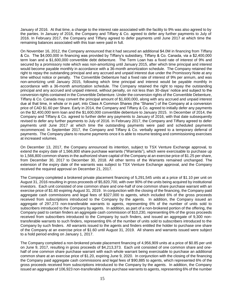January of 2016. At that time, a change to the interest rate associated with the facility to 9% was also agreed to by the parties. In January of 2016, the Company and Tiffany & Co. agreed to defer any further payments to July of 2016. In February 2017, the Company and Tiffany agreed to defer payments until June 2017 at which time the remaining balances associated with this loan were paid in full.

On November 16, 2012, the Company announced that it had secured an additional \$4.0M in financing from Tiffany & Co. The \$4,000,000 in financing was provided by Tiffany's subsidiary, Tiffany & Co. Canada, via a \$2,400,000 term loan and a \$1,600,000 convertible debt debenture. The Term Loan has a fixed rate of interest of 9% and secured by a promissory note which was non-amortizing until January 2015, after which time principal and interest would become payable monthly in accordance with a 36-month amortization schedule. The Company retained the right to repay the outstanding principal and any accrued and unpaid interest due under the Promissory Note at any time without notice or penalty. The Convertible Debenture had a fixed rate of interest of 9% per annum, and was non-amortizing until January 2015, following which time principal and interest would be payable monthly in accordance with a 36-month amortization schedule. The Company retained the right to repay the outstanding principal and any accrued and unpaid interest, without penalty, on not less than 30-days' notice and subject to the conversion rights contained in the Convertible Debenture. Under the conversion rights of the Convertible Debenture, Tiffany & Co. Canada may convert the principal amount of \$1,600,000, along with any accrued and unpaid interest due at that time, in whole or in part, into Class A Common Shares (the "Shares") of the Company at a conversion price of CAD \$1.60 per Share. Early in 2014, the Company and Tiffany & Co. agreed to initially defer any payments on the \$2,400,000 term loan and the \$1,600,000 convertible debenture to January 2015. In December of 2014, the Company and Tiffany & Co. agreed to further defer any payments to January of 2016, with that date subsequently revised to defer any further payments to July of 2016. In February 2017, the Company and Tiffany agreed to defer payments until June 2017 at which time the outstanding payments were paid and scheduled payments recommenced. In September 2017, the Company and Tiffany & Co. verbally agreed to a temporary deferral of payments. The Company plans to resume payments once it is able to resume testing and commissioning exercises at increased volumes.

On December 13, 2017, the Company announced its intention, subject to TSX Venture Exchange approval, to extend the expiry date of 1,566,800 share purchase warrants ("Warrants"), which were exercisable to purchase up to 1,566,800 common shares in the authorized share capital of the Company at an exercise price of \$1.25 per share, from December 30, 2017 to December 30, 2018. All other terms of the Warrants remained unchanged. The extension of the expiry date of the warrants was subject to TSX Venture Exchange approval, and the Company received the required approval on December 21, 2017.

The Company completed a brokered private placement financing of 5,291,545 units at a price of \$1.10 per unit on August 31, 2016 resulting in gross proceeds of \$5,820,700, with over 90% of the units being acquired by institutional investors. Each unit consisted of one common share and one-half of one common share purchase warrant with an exercise price of \$1.60 expiring August 31, 2019. In conjunction with the closing of the financing, the Company paid aggregate cash commissions and legal fees of \$327,000 to agents, which included 6% of the gross proceeds received from subscriptions introduced to the Company by the agents. In addition, the Company issued an aggregate of 297,273 non-transferable warrants to agents, representing 6% of the number of units sold to subscribers introduced to the Company by agents. In addition, as part of a non-brokered portion of the offering, the Company paid to certain finders an aggregate cash commission of \$10,230, representing 6% of the gross proceeds received from subscribers introduced to the Company by such finders, and issued an aggregate of 9,300 nontransferable warrants to such finders, representing 6% of the number of units sold to subscribers introduced to the Company by such finders. All warrants issued to the agents and finders entitled the holder to purchase one share of the Company at an exercise price of \$1.60 until August 31, 2019. All shares and warrants issued were subject to a hold period ending on January 1, 2017.

The Company completed a non-brokered private placement financing of 4,956,909 units at a price of \$0.85 per unit on June 9, 2017, resulting in gross proceeds of \$4,213,373. Each unit consisted of one common share and onehalf of one common share purchase warrant with each whole warrant being exercisable to purchase an additional common share at an exercise price of \$1.20, expiring June 9, 2020. In conjunction with the closing of the financing the Company paid aggregate cash commissions and legal fees of \$90,885 to agents, which represented 6% of the gross proceeds received from subscriptions introduced to the Company by the agents. In addition, the Company issued an aggregate of 106,923 non-transferable share purchase warrants to agents, representing 6% of the number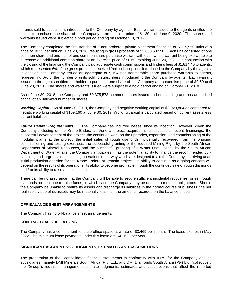of units sold to subscribers introduced to the Company by agents. Each warrant issued to the agents entitled the holder to purchase one share of the Company at an exercise price of \$1.20 until June 9, 2020. The shares and warrants issued were subject to a hold period ending on October 10, 2017.

The Company completed the first tranche of a non-brokered private placement financing of 5,715,950 units at a price of \$0.35 per unit on June 20, 2018, resulting in gross proceeds of \$2,000,582.50. Each unit consisted of one common share and one-half of one common share purchase warrant with each whole warrant being exercisable to purchase an additional common share at an exercise price of \$0.60, expiring June 20, 2021. In conjunction with the closing of the financing the Company paid aggregate cash commissions and finder's fees of \$1,814.40 to agents, which represented 6% of the gross proceeds received from subscriptions introduced to the Company by the agents. In addition, the Company issued an aggregate of 5,194 non-transferable share purchase warrants to agents, representing 6% of the number of units sold to subscribers introduced to the Company by agents. Each warrant issued to the agents entitled the holder to purchase one share of the Company at an exercise price of \$0.60 until June 20, 2021. The shares and warrants issued were subject to a hold period ending on October 21, 2018.

As of June 30, 2018, the Company had 60,375,573 common shares issued and outstanding and has authorized capital of an unlimited number of shares.

**Working Capital.** As of June 30, 2018, the Company had negative working capital of \$3,929,864 as compared to negative working capital of \$159,160 at June 30, 2017. Working capital is calculated based on current assets less current liabilities.

*Future Capital Requirements.* The Company has incurred losses since its inception. However, given the Company's closing of the Krone-Endora at Venetia project acquisition, its successful recent financings, the successful advancement of the project, the continued work on the upgrades, expansion, and commissioning of the modular plants at the project, the initial sales of rough diamonds incidentally recovered from the ongoing commissioning and testing exercises, the successful granting of the required Mining Right by the South African Department of Mineral Resources, and the successful granting of a Water Use License by the South African Department of Water Affairs, the Company anticipates it has the potential ability to finance the recommended bulk sampling and large-scale trial mining operations underway which are designed to aid the Company in arriving at an initial production decision for the Krone-Endora at Venetia project. Its ability to continue as a going concern will depend on the results of its operations, its ability to become profitable through the continued sale of rough diamonds and / or its ability to raise additional capital.

There can be no assurance that the Company will be able to secure sufficient incidental recoveries, or sell rough diamonds, or continue to raise funds, in which case the Company may be unable to meet its obligations. Should the Company be unable to realize its assets and discharge its liabilities in the normal course of business, the net realizable value of its assets may be materially less than the amounts recorded on the balance sheets.

## **OFF-BALANCE SHEET ARRANGEMENTS**

The Company has no off-balance sheet arrangements.

#### **CONTRACTUAL OBLIGATIONS**

The Company has a commitment to lease office space at a rate of \$3,469 per month. The lease expires in May 2022. The minimum lease payments under this lease are \$41,628 per year.

#### **SIGNIFICANT ACCOUNTING JUDGMENTS, ESTIMATES AND ASSUMPTIONS**

The preparation of the consolidated financial statements in conformity with IFRS for the Company and its subsidiaries, namely DMI Minerals South Africa (Pty) Ltd., and DMI Diamonds South Africa (Pty) Ltd. (collectively the "Group"), requires management to make judgments, estimates and assumptions that affect the reported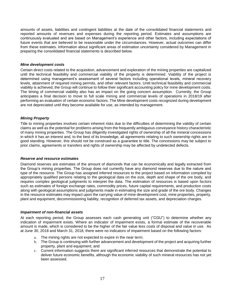amounts of assets, liabilities and contingent liabilities at the date of the consolidated financial statements and reported amounts of revenues and expenses during the reporting period. Estimates and assumptions are continuously evaluated and are based on Management's experience and other factors, including expectations of future events that are believed to be reasonable under the circumstances. However, actual outcomes can differ from these estimates. Information about significant areas of estimation uncertainty considered by Management in preparing the consolidated financial statements is described below.

## *Mine development costs*

Certain direct costs related to the acquisition, advancement and exploration of the mining properties are capitalized until the technical feasibility and commercial viability of the property is determined. Viability of the project is determined using management's assessment of several factors including operational levels, mineral recovery levels, attainment of required mining permits, and other relevant factors. Until technical feasibility and commercial viability is achieved, the Group will continue to follow their significant accounting policy for mine development costs. The timing of commercial viability also has an impact on the going concern assumption. Currently, the Group anticipates a final decision to move to full scale mining and commercial levels of operations in 2018/19 after performing an evaluation of certain economic factors. The Mine development costs recognized during development are not depreciated until they become available for use, as intended by management.

## *Mining Property*

Title to mining properties involves certain inherent risks due to the difficulties of determining the validity of certain claims as well as the potential for problems arising from the frequently ambiguous conveyance history characteristic of many mining properties. The Group has diligently investigated rights of ownership of all the mineral concessions in which it has an interest and, to the best of its knowledge, all agreements relating to such ownership rights are in good standing. However, this should not be construed as a guarantee to title. The concessions may be subject to prior claims, agreements or transfers and rights of ownership may be affected by undetected defects.

#### *Reserve and resource estimates*

Diamond reserves are estimates of the amount of diamonds that can be economically and legally extracted from the Group's mining properties. The Group does not currently have any diamond reserves due to the nature and type of the resource. The Group has assigned inferred resources to the project based on information compiled by appropriately qualified persons relating to the geological data on the size, depth and shape of the ore body, and requires complex geological judgments to interpret the data. The estimation of resources is based upon factors such as estimates of foreign exchange rates, commodity prices, future capital requirements, and production costs along with geological assumptions and judgments made in estimating the size and grade of the ore body. Changes in the resource estimates may impact upon the carrying value of mine development cost, mine properties, property, plant and equipment, decommissioning liability, recognition of deferred tax assets, and depreciation charges.

#### *Impairment of non-financial assets*

At each reporting period, the Group assesses each cash generating unit ("CGU") to determine whether any indication of impairment exists. Where an indicator of impairment exists, a formal estimate of the recoverable amount is made, which is considered to be the higher of the fair value less costs of disposal and value in use. As at June 30, 2018 and March 31, 2018, there were no indicators of impairment based on the following factors:

- a. The mining rights are not expected to expire in the near term;
- b. The Group is continuing with further advancement and development of the project and acquiring further property, plant and equipment; and
- c. Current information suggests there are significant inferred resources that demonstrate the potential to deliver future economic benefits, although the economic viability of such mineral resources has not yet been assessed.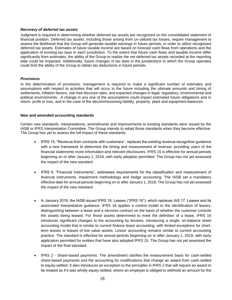## *Recovery of deferred tax assets*

Judgment is required in determining whether deferred tax assets are recognized on the consolidated statement of financial position. Deferred tax assets, including those arising from un-utilized tax losses, require management to assess the likelihood that the Group will generate taxable earnings in future periods, in order to utilize recognized deferred tax assets. Estimates of future taxable income are based on forecast cash flows from operations and the application of existing tax laws in each jurisdiction. To the extent that future cash flows and taxable income differ significantly from estimates, the ability of the Group to realize the net deferred tax assets recorded at the reporting date could be impacted. Additionally, future changes in tax laws in the jurisdictions in which the Group operates could limit the ability of the Group to obtain tax deductions in future periods.

## *Provisions*

In the determination of provisions, management is required to make a significant number of estimates and assumptions with respect to activities that will occur in the future including the ultimate amounts and timing of settlements, inflation factors, risk-free discount rates, and expected changes in legal, regulatory, environmental and political environments. A change in any one of the assumptions could impact estimated future obligations and in return, profit or loss, and in the case of the decommissioning liability, property, plant and equipment balances.

#### **New and amended accounting standards**

Certain new standards, interpretations, amendments and improvements to existing standards were issued by the IASB or IFRS Interpretation Committee. The Group intends to adopt those standards when they become effective. The Group has yet to assess the full impact of these standards.

- IFRS 15, "Revenue from contracts with customers", replaces the existing revenue recognition guidance with a new framework to determine the timing and measurement of revenue, providing users of the financial statements more information and relevant disclosures. IFRS 15 is effective for annual periods beginning on or after January 1, 2018, with early adoption permitted. The Group has not yet assessed the impact of the new standard.
- IFRS 9, "Financial Instruments", addresses requirements for the classification and measurement of financial instruments, impairment methodology and hedge accounting. The IASB set a mandatory effective date for annual periods beginning on or after January 1, 2018. The Group has not yet assessed the impact of the new standard.
- In January 2016, the IASB issued IFRS 16, Leases ("IFRS 16"), which replaces IAS 17, Leases and its associated interpretative guidance. IFRS 16 applies a control model to the identification of leases, distinguishing between a lease and a services contract on the basis of whether the customer controls the assets being leased. For those assets determined to meet the definition of a lease, IFRS 16 introduces significant changes to the accounting by lessees, introducing a single, on-balance sheet accounting model that is similar to current finance lease accounting, with limited exceptions for shortterm leases or leases of low value assets. Lessor accounting remains similar to current accounting practice. The standard is effective for annual periods beginning on or after January 1, 2019, with early application permitted for entities that have also adopted IFRS 15. The Group has not yet assessed the impact of the final standard.
- IFRS 2 Share-based payments. The amendment clarifies the measurement basis for cash-settled share-based payments and the accounting for modifications that change an award from cash-settled to equity-settled. It also introduces an exception to the principles in IFRS 2 that will require an award to be treated as if it was wholly equity-settled, where an employer is obliged to withhold an amount for the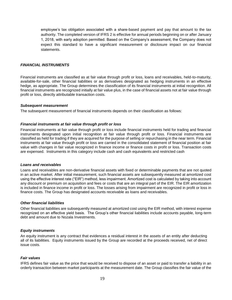employee's tax obligation associated with a share-based payment and pay that amount to the tax authority. The completed version of IFRS 2 is effective for annual periods beginning on or after January 1, 2018, with early adoption permitted. Based on the Company's assessment, the Company does not expect this standard to have a significant measurement or disclosure impact on our financial statements.

## *FINANCIAL INSTRUMENTS*

Financial instruments are classified as at fair value through profit or loss, loans and receivables, held-to-maturity, available-for-sale, other financial liabilities or as derivatives designated as hedging instruments in an effective hedge, as appropriate. The Group determines the classification of its financial instruments at initial recognition. All financial instruments are recognized initially at fair value plus, in the case of financial assets not at fair value through profit or loss, directly attributable transaction costs.

#### *Subsequent measurement*

The subsequent measurement of financial instruments depends on their classification as follows:

## *Financial instruments at fair value through profit or loss*

Financial instruments at fair value through profit or loss include financial instruments held for trading and financial instruments designated upon initial recognition at fair value through profit or loss. Financial instruments are classified as held for trading if they are acquired for the purpose of selling or repurchasing in the near term. Financial instruments at fair value through profit or loss are carried in the consolidated statement of financial position at fair value with changes in fair value recognized in finance income or finance costs in profit or loss. Transaction costs are expensed. Instruments in this category include cash and cash equivalents and restricted cash

#### *Loans and receivables*

Loans and receivables are non-derivative financial assets with fixed or determinable payments that are not quoted in an active market. After initial measurement, such financial assets are subsequently measured at amortized cost using the effective interest rate ("EIR") method, less impairment. Amortized cost is calculated by taking into account any discount or premium on acquisition and fees or costs that are an integral part of the EIR. The EIR amortization is included in finance income in profit or loss. The losses arising from impairment are recognized in profit or loss in finance costs. The Group has designated accounts receivable as loans and receivables.

#### *Other financial liabilities*

Other financial liabilities are subsequently measured at amortized cost using the EIR method, with interest expense recognized on an effective yield basis. The Group's other financial liabilities include accounts payable, long-term debt and amount due to Nozala Investments.

## *Equity instruments*

An equity instrument is any contract that evidences a residual interest in the assets of an entity after deducting all of its liabilities. Equity instruments issued by the Group are recorded at the proceeds received, net of direct issue costs.

#### *Fair values*

IFRS defines fair value as the price that would be received to dispose of an asset or paid to transfer a liability in an orderly transaction between market participants at the measurement date. The Group classifies the fair value of the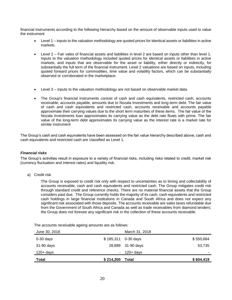financial instruments according to the following hierarchy based on the amount of observable inputs used to value the instrument

- Level 1 inputs to the valuation methodology are quoted prices for identical assets or liabilities in active markets.
- Level 2 Fair vales of financial assets and liabilities in level 2 are based on inputs other than level 1. Inputs to the valuation methodology included quoted prices for identical assets or liabilities in active markets, and inputs that are observable for the asset or liability, either directly or indirectly, for substantially the full term of the financial instrument. Level 2 valuations are based on inputs, including quoted forward prices for commodities, time value and volatility factors, which can be substantially observed or corroborated in the marketplace.
- Level 3 inputs to the valuation methodology are not based on observable market data.
- The Group's financial instruments consist of cash and cash equivalents, restricted cash, accounts receivable, accounts payable, amounts due to Nozala Investments and long-term debt. The fair value of cash and cash equivalents and restricted cash, accounts receivable and accounts payable approximate their carrying values due to the short term maturities of these items. The fair value of the Nozala Investments loan approximates its carrying value as the debt rate floats with prime. The fair value of the long-term debt approximates its carrying value as the interest rate is a market rate for similar instrument

The Group's cash and cash equivalents have been assessed on the fair value hierarchy described above; cash and cash equivalents and restricted cash are classified as Level 1.

## *Financial risks*

The Group's activities result in exposure to a variety of financial risks, including risks related to credit, market risk (currency fluctuation and interest rates) and liquidity risk.

a) Credit risk

The Group is exposed to credit risk only with respect to uncertainties as to timing and collectability of accounts receivable, cash and cash equivalents and restricted cash. The Group mitigates credit risk through standard credit and reference checks. There are no material financial assets that the Group considers past due. The Group currently holds the majority of its cash, cash equivalents and restricted cash holdings in large financial institutions in Canada and South Africa and does not expect any significant risk associated with those deposits. The accounts receivable are sales taxes refundable due from the Government of South Africa and Canada as well as trade receivables from diamond tenders; the Group does not foresee any significant risk in the collection of these accounts receivable.

The accounts receivable ageing amounts are as follows:

| June 30, 2018 |           | March 31, 2018 |           |
|---------------|-----------|----------------|-----------|
| $0-30$ days   | \$185,311 | 0-30 days      | \$550,684 |
| 31-90 days    | 28,889    | 31-90 days     | 53,735    |
| $120 + days$  | $\sim$    | $120 + days$   | ۰         |
| Total         | \$214,200 | Total          | \$604,419 |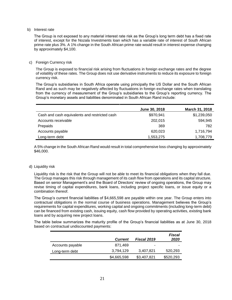#### b) Interest rate

The Group is not exposed to any material interest rate risk as the Group's long term debt has a fixed rate of interest, except for the Nozala Investments loan which has a variable rate of interest of South African prime rate plus 3%. A 1% change in the South African prime rate would result in interest expense changing by approximately \$4,100.

#### c) Foreign Currency risk

The Group is exposed to financial risk arising from fluctuations in foreign exchange rates and the degree of volatility of these rates. The Group does not use derivative instruments to reduce its exposure to foreign currency risk.

The Group's subsidiaries in South Africa operate using principally the US Dollar and the South African Rand and as such may be negatively affected by fluctuations in foreign exchange rates when translating from the currency of measurement of the Group's subsidiaries to the Group's reporting currency. The Group's monetary assets and liabilities denominated in South African Rand include:

|                                               | June 30, 2018 | March 31, 2018 |
|-----------------------------------------------|---------------|----------------|
| Cash and cash equivalents and restricted cash | \$970,941     | \$1,239,050    |
| Accounts receivable                           | 202,015       | 594,945        |
| Prepaids                                      | 369           | 782            |
| Accounts payable                              | 620,023       | 1,716,794      |
| Long-term debt                                | 1,553,275     | 1,708,779      |

A 5% change in the South African Rand would result in total comprehensive loss changing by approximately \$46,000.

#### d) Liquidity risk

Liquidity risk is the risk that the Group will not be able to meet its financial obligations when they fall due. The Group manages this risk through management of its cash flow from operations and its capital structure. Based on senior Management's and the Board of Directors' review of ongoing operations, the Group may revise timing of capital expenditures, bank loans, including project specific loans, or issue equity or a combination thereof.

The Group's current financial liabilities of \$4,665,598 are payable within one year. The Group enters into contractual obligations in the normal course of business operations. Management believes the Group's requirements for capital expenditures, working capital and ongoing commitments (including long-term debt) can be financed from existing cash, issuing equity, cash flow provided by operating activities, existing bank loans and by acquiring new project loans.

The table below summarizes the maturity profile of the Group's financial liabilities as at June 30, 2018 based on contractual undiscounted payments:

|                  | <b>Current</b> | Fiscal 2019 | Fiscal<br>2020 |
|------------------|----------------|-------------|----------------|
| Accounts payable | 871.469        | ٠           |                |
| Long-term debt   | 3,794,129      | 3,407,821   | 520,293        |
|                  | \$4,665,598    | \$3,407,821 | \$520,293      |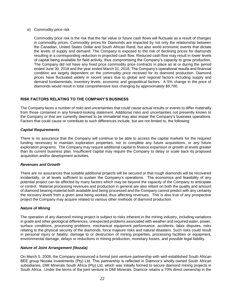#### e) Commodity price risk

Commodity price risk is the risk that the fair value or future cash flows will fluctuate as a result of changes in commodity prices. Commodity prices for Diamonds are impacted by not only the relationship between the Canadian, United States Dollar and South African Rand, but also world economic events that dictate the levels of supply and demand. The Company is exposed to the risk of declining prices for diamonds resulting in a corresponding reduction in projected cash flow. Reduced cash flow may result in lower levels of capital being available for field activity, thus compromising the Company's capacity to grow production. The Company did not have any fixed price commodity price contracts in place as at or during the period ended June 30, 2018 and the year ended March 31, 2018. The Company's operational results and financial condition are largely dependent on the commodity price received for its diamond production. Diamond prices have fluctuated widely in recent years due to global and regional factors including supply and demand fundamentals, inventory levels, economic and geopolitical factors. A 5% change in the price of diamonds would result in total comprehensive loss changing by approximately \$9,700.

## **RISK FACTORS RELATING TO THE COMPANY'S BUSINESS**

The Company faces a number of risks and uncertainties that could cause actual results or events to differ materially from those contained in any forward-looking statement. Additional risks and uncertainties not presently known to the Company or that are currently deemed to be immaterial may also impair the Company's business operations. Factors that could cause or contribute to such differences include, but are not limited to, the following:

#### *Capital Requirements*

There is no assurance that the Company will continue to be able to access the capital markets for the required funding necessary to maintain exploration properties, nor to complete any future acquisitions, or any future exploration programs. The Company may require additional capital to finance expansion or growth at levels greater than its current business plan. Insufficient capital may require the Company to delay or scale back its proposed acquisition and/or development activities.

#### *Revenues and Growth*

There are no assurances that suitable additional projects will be secured or that rough diamonds will be recovered incidentally, or at levels sufficient to sustain the Company's operations. The economics and feasibility of any potential project can be affected by many factors which may be beyond the capacity of the Company to anticipate or control. Material processing revenues and production in general are also reliant on both the quality and amount of diamond bearing material both available and being processed and the Company cannot predict with any certainty the recovery levels from a given area being worked, thus affecting revenues. This is also true of any prospective project the Company may acquire related to various other methods of diamond production.

#### *Nature of Mining*

The operation of any diamond mining project is subject to risks inherent in the mining industry, including variations in grade and other geological differences, unexpected problems associated with weather and required water, power, surface conditions, processing problems, mechanical equipment performance, accidents, labor disputes, risks relating to the physical security of the diamonds, force majeure risks and natural disasters. Such risks could result in personal injury or fatality, damage to or destruction of mining properties, processing facilities or equipment, environmental damage, delays or reductions in mining production, monetary losses, and possible legal liability.

#### *Nature of Joint Arrangement (Nozala)*

On March 5, 2008, the Company announced a formal joint venture partnership with well-established South African BEE group Nozala Investments (Pty) Ltd. This partnership is reflected in Diamcor's wholly-owned South African subsidiaries, DMI Minerals South Africa (Pty) Ltd. which was initially formed to secure diamond mining projects in South Africa. Under the terms of the joint venture in DMI Minerals, Diamcor retains a 70% direct ownership in the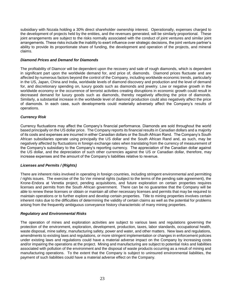subsidiary with Nozala holding a 30% direct shareholder ownership interest. Operationally, expenses charged to the development of projects held by the entities, and the revenues generated, will be similarly proportional. These joint arrangements are subject to the risks normally associated with the conduct of joint ventures and similar joint arrangements. These risks include the inability to exert influence over strategic decisions, the joint venture partner's ability to provide its proportionate share of funding, the development and operation of the projects, and mineral claims.

## *Diamond Prices and Demand for Diamonds*

The profitability of Diamcor will be dependent upon the recovery and sale of rough diamonds, which is dependent in significant part upon the worldwide demand for, and price of, diamonds. Diamond prices fluctuate and are affected by numerous factors beyond the control of the Company, including worldwide economic trends, particularly in the US, Japan, China and India, worldwide levels of diamond discovery and production and the level of demand for, and discretionary spending on, luxury goods such as diamonds and jewelry. Low or negative growth in the worldwide economy or the occurrence of terrorist activities creating disruptions in economic growth could result in decreased demand for luxury goods such as diamonds, thereby negatively affecting the price of diamonds. Similarly, a substantial increase in the worldwide level of diamond production could also negatively affect the price of diamonds. In each case, such developments could materially adversely affect the Company's results of operations.

## *Currency Risk*

Currency fluctuations may affect the Company's financial performance. Diamonds are sold throughout the world based principally on the US dollar price. The Company reports its financial results in Canadian dollars and a majority of its costs and expenses are incurred in either Canadian dollars or the South African Rand. The Company's South African subsidiaries operate using principally the US dollar and the South African Rand and, as such, may be negatively affected by fluctuations in foreign exchange rates when translating from the currency of measurement of the Company's subsidiary to the Company's reporting currency. The appreciation of the Canadian dollar against the US dollar, and the depreciation of such other currencies against the US or Canadian dollar, therefore, may increase expenses and the amount of the Company's liabilities relative to revenue.

#### *Licenses and Permits / (Rights)*

There are inherent risks involved in operating in foreign countries, including stringent environmental and permitting / rights issues. The exercise of the So Ver mineral rights (subject to the terms of the pending sale agreement), the Krone-Endora at Venetia project, pending acquisitions, and future exploration on certain properties requires licenses and permits from the South African government. There can be no guarantee that the Company will be able to renew these licenses or obtain or maintain all other necessary licenses and permits that may be required to maintain operations or to further explore and develop certain properties. Title to mining properties involves certain inherent risks due to the difficulties of determining the validity of certain claims as well as the potential for problems arising from the frequently ambiguous conveyance history characteristic of many mining properties.

#### *Regulatory and Environmental Risks*

The operation of mines and exploration activities are subject to various laws and regulations governing the protection of the environment, exploration, development, production, taxes, labor standards, occupational health, waste disposal, mine safety, manufacturing safety, power and water, and other matters. New laws and regulations, amendments to existing laws and regulations, or more stringent implementation or changes in enforcement policies under existing laws and regulations could have a material adverse impact on the Company by increasing costs and/or impairing the operations at the project. Mining and manufacturing are subject to potential risks and liabilities associated with pollution of the environment and the disposal of waste products occurring as a result of mining and manufacturing operations. To the extent that the Company is subject to uninsured environmental liabilities, the payment of such liabilities could have a material adverse effect on the Company.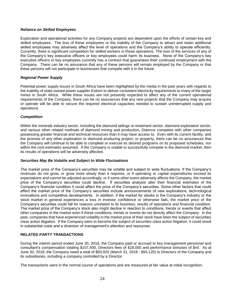## *Reliance on Skilled Employees*

Exploration and operational activities for any Company projects are dependent upon the efforts of certain key and skilled employees. The loss of these employees or the inability of the Company to attract and retain additional skilled employees may adversely affect the level of operations and the Company's ability to operate efficiently. Currently, there is significant competition for skilled workers in these operations. The loss of the services of any of the Company's key executive officers or key employees could harm its business. None of the Company's key executive officers or key employees currently has a contract that guarantees their continued employment with the Company. There can be no assurance that any of these persons will remain employed by the Company or that these persons will not participate in businesses that compete with it in the future.

## *Regional Power Supply*

Potential power supply issues in South Africa have been highlighted by the media in the past years with regards to the inability of state-owned power supplier *Eskom* to deliver consistent electricity requirements to many of the larger mines in South Africa. While these issues are not presently expected to affect any of the current operational requirements of the Company, there can be no assurances that any new projects that the Company may acquire or operate will be able to secure the required electrical capacities needed to sustain uninterrupted supply and operations.

## *Competition*

Within the minerals industry sector, including the diamond tailings re-treatment sector, diamond exploration sector, and various other related methods of diamond mining and production, Diamcor competes with other companies possessing greater financial and technical resources than it may have access to. Even with its current facility, and the promise of any other exploration or diamond producing project, or property, there can be no assurances that the Company will continue to be able to complete or execute its desired programs on its proposed schedules, nor within the cost estimates assumed. If the Company is unable to successfully compete in the diamond market, then its results of operations will be adversely affected.

#### *Securities May Be Volatile and Subject to Wide Fluctuations*

The market price of the Company's securities may be volatile and subject to wide fluctuations. If the Company's revenues do not grow, or grow more slowly than it requires, or if operating or capital expenditures exceed its expectations and cannot be adjusted accordingly, or if some other event adversely affects the Company, the market price of the Company's securities could decline. If securities analysts alter their financial estimates of the Company's financial condition it could affect the price of the Company's securities. Some other factors that could affect the market price of the Company's securities include announcements of new explorations, technological innovations and competitive developments. In addition, if the market for stocks in the Company's industry or the stock market in general experiences a loss in investor confidence or otherwise fails, the market price of the Company's securities could fall for reasons unrelated to its business, results of operations and financial condition. The market price of the Company's stock also might decline in reaction to conditions, trends or events that affect other companies in the market even if these conditions, trends or events do not directly affect the Company. In the past, companies that have experienced volatility in the market price of their stock have been the subject of securities class action litigation. If the Company were to become the subject of securities class action litigation, it could result in substantial costs and a diversion of management's attention and resources.

## **RELATED PARTY TRANSACTIONS**

During the interim period ended June 30, 2018, the Company paid or accrued to key management personnel and consultant's compensation totaling \$107,400, Directors fees of \$18,000 and performance bonuses of \$nil. As at June 30, 2018, the Company owed a total of \$50,925 (March 31, 2018 - \$55,125) to Directors of the Company and its subsidiaries, including a company controlled by a Director.

The transactions were in the normal course of operations and are measured at fair value at initial recognition.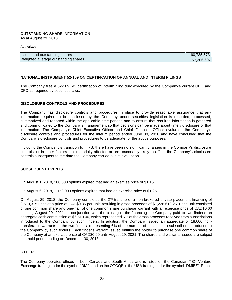#### **OUTSTANDING SHARE INFORMATION**

As at August 29, 2018

#### **Authorized**

| Issued and outstanding shares       | 60.735.573 |
|-------------------------------------|------------|
| Weighted average outstanding shares | 57,306,607 |

#### **NATIONAL INSTRUMENT 52-109 ON CERTIFICATION OF ANNUAL AND INTERIM FILINGS**

The Company files a 52-109FV2 certification of interim filing duly executed by the Company's current CEO and CFO as required by securities laws.

#### **DISCLOSURE CONTROLS AND PROCEDURES**

The Company has disclosure controls and procedures in place to provide reasonable assurance that any information required to be disclosed by the Company under securities legislation is recorded, processed, summarized and reported within the applicable time periods and to ensure that required information is gathered and communicated to the Company's management so that decisions can be made about timely disclosure of that information. The Company's Chief Executive Officer and Chief Financial Officer evaluated the Company's disclosure controls and procedures for the interim period ended June 30, 2018 and have concluded that the Company's disclosure controls and procedures to be adequate for the above purposes.

Including the Company's transition to IFRS, there have been no significant changes in the Company's disclosure controls, or in other factors that materially affected or are reasonably likely to affect, the Company's disclosure controls subsequent to the date the Company carried out its evaluation.

#### **SUBSEQUENT EVENTS**

On August 1, 2018, 100,000 options expired that had an exercise price of \$1.15.

On August 6, 2018, 1,150,000 options expired that had an exercise price of \$1.25

On August 29, 2018, the Company completed the  $2<sup>nd</sup>$  tranche of a non-brokered private placement financing of 3,510,315 units at a price of CAD\$0.35 per unit, resulting in gross proceeds of \$1,228,610.25. Each unit consisted of one common share and one-half of one common share purchase warrant with an exercise price of CAD\$0.60 expiring August 29, 2021. In conjunction with the closing of the financing the Company paid to two finder's an aggregate cash commission of \$6,510.00, which represented 6% of the gross proceeds received from subscriptions introduced to the Company by such finders. In addition, the Company issued an aggregate of 18,600 nontransferable warrants to the two finders, representing 6% of the number of units sold to subscribers introduced to the Company by such finders. Each finder's warrant issued entitles the holder to purchase one common share of the Company at an exercise price of CAD\$0.60 until August 29, 2021. The shares and warrants issued are subject to a hold period ending on December 30, 2018.

#### **OTHER**

The Company operates offices in both Canada and South Africa and is listed on the Canadian TSX Venture Exchange trading under the symbol "DMI", and on the OTCQB in the USA trading under the symbol "DMIFF". Public